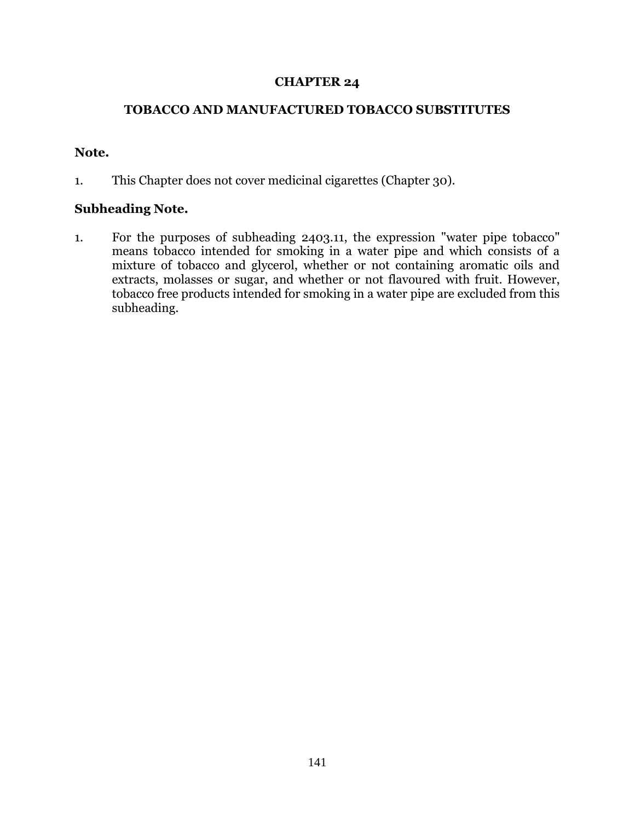## **CHAPTER 24**

## **TOBACCO AND MANUFACTURED TOBACCO SUBSTITUTES**

## **Note.**

1. This Chapter does not cover medicinal cigarettes (Chapter 30).

## **Subheading Note.**

1. For the purposes of subheading 2403.11, the expression "water pipe tobacco" means tobacco intended for smoking in a water pipe and which consists of a mixture of tobacco and glycerol, whether or not containing aromatic oils and extracts, molasses or sugar, and whether or not flavoured with fruit. However, tobacco free products intended for smoking in a water pipe are excluded from this subheading.